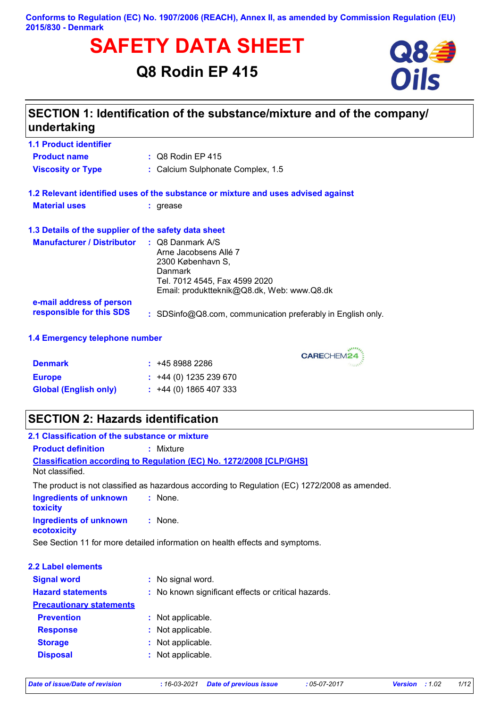#### **Conforms to Regulation (EC) No. 1907/2006 (REACH), Annex II, as amended by Commission Regulation (EU) 2015/830 - Denmark**

# **SAFETY DATA SHEET**<br>
Q8 Rodin EP 415<br> **Oils**

**Q8 Rodin EP 415**



## **SECTION 1: Identification of the substance/mixture and of the company/ undertaking**

| <b>1.1 Product identifier</b>                        |                                                                                                                                      |
|------------------------------------------------------|--------------------------------------------------------------------------------------------------------------------------------------|
| <b>Product name</b>                                  | $\therefore$ Q8 Rodin EP 415                                                                                                         |
| <b>Viscosity or Type</b>                             | : Calcium Sulphonate Complex, 1.5                                                                                                    |
|                                                      | 1.2 Relevant identified uses of the substance or mixture and uses advised against                                                    |
| <b>Material uses</b>                                 | : grease                                                                                                                             |
| 1.3 Details of the supplier of the safety data sheet |                                                                                                                                      |
| <b>Manufacturer / Distributor : Q8 Danmark A/S</b>   | Arne Jacobsens Allé 7<br>2300 København S,<br>Danmark<br>Tel. 7012 4545, Fax 4599 2020<br>Email: produktteknik@Q8.dk, Web: www.Q8.dk |
| e-mail address of person<br>responsible for this SDS | : SDSinfo@Q8.com, communication preferably in English only.                                                                          |

## **1.4 Emergency telephone number**

| <b>Denmark</b>               | : 4589882286                |
|------------------------------|-----------------------------|
| <b>Europe</b>                | $\div$ +44 (0) 1235 239 670 |
| <b>Global (English only)</b> | $\div$ +44 (0) 1865 407 333 |

## **SECTION 2: Hazards identification**

| 2.1 Classification of the substance or mixture       |                                                                                               |
|------------------------------------------------------|-----------------------------------------------------------------------------------------------|
| <b>Product definition</b>                            | $:$ Mixture                                                                                   |
| Not classified.                                      | <b>Classification according to Regulation (EC) No. 1272/2008 [CLP/GHS]</b>                    |
|                                                      | The product is not classified as hazardous according to Regulation (EC) 1272/2008 as amended. |
| <b>Ingredients of unknown</b><br>toxicity            | : None.                                                                                       |
| <b>Ingredients of unknown : None.</b><br>ecotoxicity |                                                                                               |
|                                                      | See Section 11 for more detailed information on health effects and symptoms.                  |
|                                                      |                                                                                               |
| 2.2 Label elements                                   |                                                                                               |
| <b>Signal word</b>                                   | : No signal word.                                                                             |
| <b>Hazard statements</b>                             | : No known significant effects or critical hazards.                                           |
| <b>Precautionary statements</b>                      |                                                                                               |
| <b>Prevention</b>                                    | : Not applicable.                                                                             |
| <b>Response</b>                                      | : Not applicable.                                                                             |
| <b>Storage</b>                                       | : Not applicable.                                                                             |
| <b>Disposal</b>                                      | : Not applicable.                                                                             |
|                                                      |                                                                                               |

CARECHEM24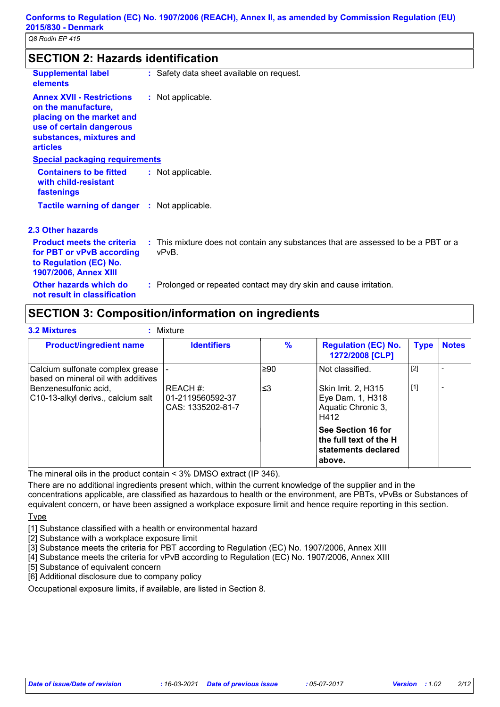| <b>SECTION 2: Hazards identification</b>                                                                                                                        |                                                                                            |  |  |  |
|-----------------------------------------------------------------------------------------------------------------------------------------------------------------|--------------------------------------------------------------------------------------------|--|--|--|
| <b>Supplemental label</b><br>elements                                                                                                                           | : Safety data sheet available on request.                                                  |  |  |  |
| <b>Annex XVII - Restrictions</b><br>on the manufacture,<br>placing on the market and<br>use of certain dangerous<br>substances, mixtures and<br><b>articles</b> | : Not applicable.                                                                          |  |  |  |
| <b>Special packaging requirements</b>                                                                                                                           |                                                                                            |  |  |  |
| <b>Containers to be fitted</b><br>with child-resistant<br>fastenings                                                                                            | : Not applicable.                                                                          |  |  |  |
| <b>Tactile warning of danger : Not applicable.</b>                                                                                                              |                                                                                            |  |  |  |
| 2.3 Other hazards                                                                                                                                               |                                                                                            |  |  |  |
| <b>Product meets the criteria</b><br>for PBT or vPvB according<br>to Regulation (EC) No.<br>1907/2006, Annex XIII                                               | : This mixture does not contain any substances that are assessed to be a PBT or a<br>vPvB. |  |  |  |
| Other hazards which do<br>not result in classification                                                                                                          | : Prolonged or repeated contact may dry skin and cause irritation.                         |  |  |  |

## **SECTION 3: Composition/information on ingredients**

| <b>Product/ingredient name</b>                                          | <b>Identifiers</b>                                | $\frac{9}{6}$ | <b>Regulation (EC) No.</b><br>1272/2008 [CLP]                                 | <b>Type</b> | <b>Notes</b> |
|-------------------------------------------------------------------------|---------------------------------------------------|---------------|-------------------------------------------------------------------------------|-------------|--------------|
| Calcium sulfonate complex grease<br>based on mineral oil with additives |                                                   | $\geq 90$     | Not classified.                                                               | $[2]$       |              |
| Benzenesulfonic acid.<br>C10-13-alkyl derivs., calcium salt             | REACH #:<br>01-2119560592-37<br>CAS: 1335202-81-7 | ≤3            | Skin Irrit. 2, H315<br>Eye Dam. 1, H318<br>Aquatic Chronic 3,<br>H412         | $[1]$       |              |
|                                                                         |                                                   |               | See Section 16 for<br>the full text of the H<br>statements declared<br>above. |             |              |

The mineral oils in the product contain < 3% DMSO extract (IP 346).

There are no additional ingredients present which, within the current knowledge of the supplier and in the concentrations applicable, are classified as hazardous to health or the environment, are PBTs, vPvBs or Substances of equivalent concern, or have been assigned a workplace exposure limit and hence require reporting in this section. **Type** 

[1] Substance classified with a health or environmental hazard

[2] Substance with a workplace exposure limit

[3] Substance meets the criteria for PBT according to Regulation (EC) No. 1907/2006, Annex XIII

[4] Substance meets the criteria for vPvB according to Regulation (EC) No. 1907/2006, Annex XIII

E<sub>5</sub><br>[5] Substance of equivalent concern

[6] Additional disclosure due to company policy

Occupational exposure limits, if available, are listed in Section 8.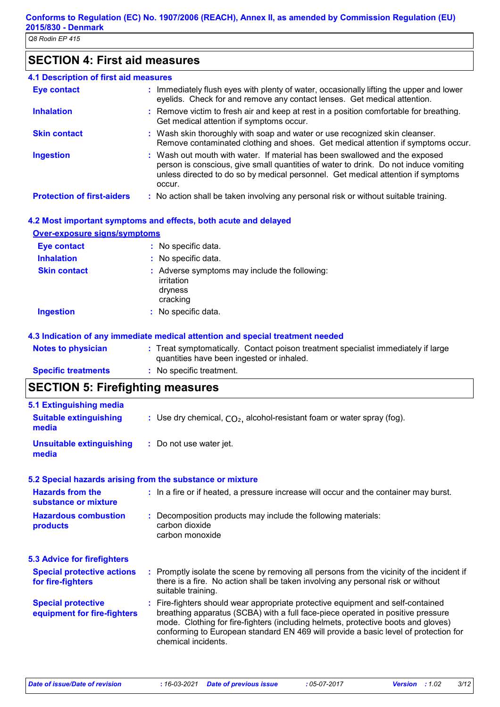## **SECTION 4: First aid measures**

| <b>4.1 Description of first aid measures</b> |                                                                                                                                                                                                                                                                   |
|----------------------------------------------|-------------------------------------------------------------------------------------------------------------------------------------------------------------------------------------------------------------------------------------------------------------------|
| <b>Eye contact</b>                           | : Immediately flush eyes with plenty of water, occasionally lifting the upper and lower<br>eyelids. Check for and remove any contact lenses. Get medical attention.                                                                                               |
| <b>Inhalation</b>                            | : Remove victim to fresh air and keep at rest in a position comfortable for breathing.<br>Get medical attention if symptoms occur.                                                                                                                                |
| <b>Skin contact</b>                          | : Wash skin thoroughly with soap and water or use recognized skin cleanser.<br>Remove contaminated clothing and shoes. Get medical attention if symptoms occur.                                                                                                   |
| <b>Ingestion</b>                             | : Wash out mouth with water. If material has been swallowed and the exposed<br>person is conscious, give small quantities of water to drink. Do not induce vomiting<br>unless directed to do so by medical personnel. Get medical attention if symptoms<br>occur. |
| <b>Protection of first-aiders</b>            | : No action shall be taken involving any personal risk or without suitable training.                                                                                                                                                                              |

## **4.2 Most important symptoms and effects, both acute and delayed Over-exposure signs/symptoms**

| <b>Eye contact</b><br><b>Inhalation</b> | : No specific data.<br>: No specific data.                                         |
|-----------------------------------------|------------------------------------------------------------------------------------|
| <b>Skin contact</b>                     | : Adverse symptoms may include the following:<br>irritation<br>dryness<br>cracking |
| <b>Ingestion</b>                        | : No specific data.                                                                |

## **4.3 Indication of any immediate medical attention and special treatment needed**

| <b>Notes to physician</b>  | : Treat symptomatically. Contact poison treatment specialist immediately if large<br>quantities have been ingested or inhaled. |
|----------------------------|--------------------------------------------------------------------------------------------------------------------------------|
| <b>Specific treatments</b> | $:$ No specific treatment.                                                                                                     |

# **SECTION 5: Firefighting measures**

| 5.1 Extinguishing media                                   |                                                                                                                                                                                                                                                                                                                                                                       |  |  |
|-----------------------------------------------------------|-----------------------------------------------------------------------------------------------------------------------------------------------------------------------------------------------------------------------------------------------------------------------------------------------------------------------------------------------------------------------|--|--|
| <b>Suitable extinguishing</b><br>media                    | : Use dry chemical, $CO2$ , alcohol-resistant foam or water spray (fog).                                                                                                                                                                                                                                                                                              |  |  |
| <b>Unsuitable extinguishing</b><br>media                  | : Do not use water jet.                                                                                                                                                                                                                                                                                                                                               |  |  |
| 5.2 Special hazards arising from the substance or mixture |                                                                                                                                                                                                                                                                                                                                                                       |  |  |
| <b>Hazards from the</b><br>substance or mixture           | : In a fire or if heated, a pressure increase will occur and the container may burst.                                                                                                                                                                                                                                                                                 |  |  |
| <b>Hazardous combustion</b><br>products                   | : Decomposition products may include the following materials:<br>carbon dioxide<br>carbon monoxide                                                                                                                                                                                                                                                                    |  |  |
| <b>5.3 Advice for firefighters</b>                        |                                                                                                                                                                                                                                                                                                                                                                       |  |  |
| <b>Special protective actions</b><br>for fire-fighters    | : Promptly isolate the scene by removing all persons from the vicinity of the incident if<br>there is a fire. No action shall be taken involving any personal risk or without<br>suitable training.                                                                                                                                                                   |  |  |
| <b>Special protective</b><br>equipment for fire-fighters  | : Fire-fighters should wear appropriate protective equipment and self-contained<br>breathing apparatus (SCBA) with a full face-piece operated in positive pressure<br>mode. Clothing for fire-fighters (including helmets, protective boots and gloves)<br>conforming to European standard EN 469 will provide a basic level of protection for<br>chemical incidents. |  |  |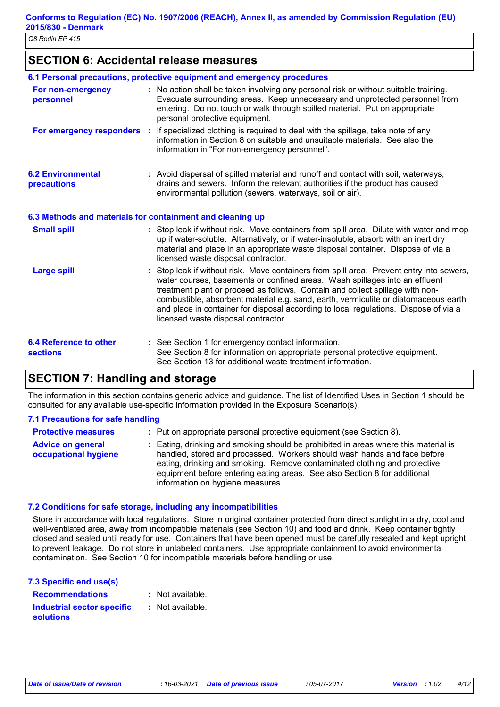## **SECTION 6: Accidental release measures**

|                                                  | 6.1 Personal precautions, protective equipment and emergency procedures                                                                                                                                                                                                                                                                                                                                                                                                        |
|--------------------------------------------------|--------------------------------------------------------------------------------------------------------------------------------------------------------------------------------------------------------------------------------------------------------------------------------------------------------------------------------------------------------------------------------------------------------------------------------------------------------------------------------|
| For non-emergency<br>personnel                   | : No action shall be taken involving any personal risk or without suitable training.<br>Evacuate surrounding areas. Keep unnecessary and unprotected personnel from<br>entering. Do not touch or walk through spilled material. Put on appropriate<br>personal protective equipment.                                                                                                                                                                                           |
| For emergency responders                         | : If specialized clothing is required to deal with the spillage, take note of any<br>information in Section 8 on suitable and unsuitable materials. See also the<br>information in "For non-emergency personnel".                                                                                                                                                                                                                                                              |
| <b>6.2 Environmental</b><br>precautions          | : Avoid dispersal of spilled material and runoff and contact with soil, waterways,<br>drains and sewers. Inform the relevant authorities if the product has caused<br>environmental pollution (sewers, waterways, soil or air).                                                                                                                                                                                                                                                |
|                                                  | 6.3 Methods and materials for containment and cleaning up                                                                                                                                                                                                                                                                                                                                                                                                                      |
| <b>Small spill</b>                               | : Stop leak if without risk. Move containers from spill area. Dilute with water and mop<br>up if water-soluble. Alternatively, or if water-insoluble, absorb with an inert dry<br>material and place in an appropriate waste disposal container. Dispose of via a<br>licensed waste disposal contractor.                                                                                                                                                                       |
| <b>Large spill</b>                               | : Stop leak if without risk. Move containers from spill area. Prevent entry into sewers,<br>water courses, basements or confined areas. Wash spillages into an effluent<br>treatment plant or proceed as follows. Contain and collect spillage with non-<br>combustible, absorbent material e.g. sand, earth, vermiculite or diatomaceous earth<br>and place in container for disposal according to local regulations. Dispose of via a<br>licensed waste disposal contractor. |
| <b>6.4 Reference to other</b><br><b>sections</b> | : See Section 1 for emergency contact information.<br>See Section 8 for information on appropriate personal protective equipment.<br>See Section 13 for additional waste treatment information.                                                                                                                                                                                                                                                                                |

## **SECTION 7: Handling and storage**

The information in this section contains generic advice and guidance. The list of Identified Uses in Section 1 should be consulted for any available use-specific information provided in the Exposure Scenario(s).

#### **7.1 Precautions for safe handling**

| <b>Protective measures</b>                       | : Put on appropriate personal protective equipment (see Section 8).                                                                                                                                                                                                                                                                                           |
|--------------------------------------------------|---------------------------------------------------------------------------------------------------------------------------------------------------------------------------------------------------------------------------------------------------------------------------------------------------------------------------------------------------------------|
| <b>Advice on general</b><br>occupational hygiene | : Eating, drinking and smoking should be prohibited in areas where this material is<br>handled, stored and processed. Workers should wash hands and face before<br>eating, drinking and smoking. Remove contaminated clothing and protective<br>equipment before entering eating areas. See also Section 8 for additional<br>information on hygiene measures. |

#### **7.2 Conditions for safe storage, including any incompatibilities**

Store in accordance with local regulations. Store in original container protected from direct sunlight in a dry, cool and well-ventilated area, away from incompatible materials (see Section 10) and food and drink. Keep container tightly closed and sealed until ready for use. Containers that have been opened must be carefully resealed and kept upright to prevent leakage. Do not store in unlabeled containers. Use appropriate containment to avoid environmental contamination. See Section 10 for incompatible materials before handling or use.

| 7.3 Specific end use(s)    |                  |
|----------------------------|------------------|
| <b>Recommendations</b>     | : Not available. |
| Industrial sector specific | : Not available. |
| <b>solutions</b>           |                  |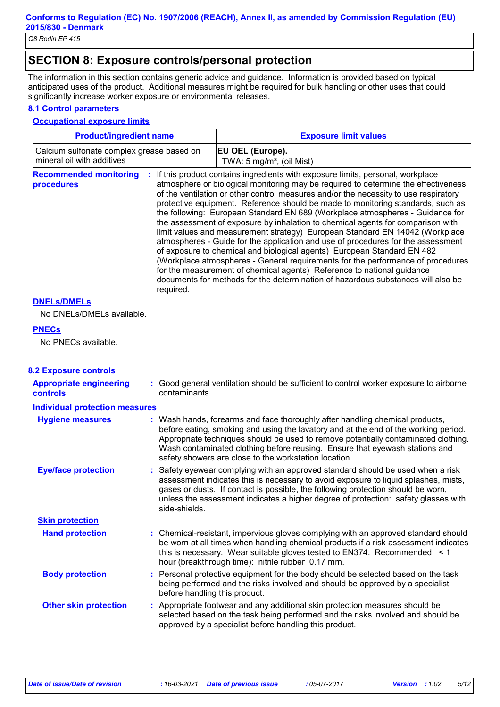## **SECTION 8: Exposure controls/personal protection**

The information in this section contains generic advice and guidance. Information is provided based on typical anticipated uses of the product. Additional measures might be required for bulk handling or other uses that could significantly increase worker exposure or environmental releases.

#### **8.1 Control parameters**

#### **Occupational exposure limits**

| <b>Product/ingredient name</b>            | <b>Exposure limit values</b>         |
|-------------------------------------------|--------------------------------------|
| Calcium sulfonate complex grease based on | <b>EU OEL (Europe).</b>              |
| l mineral oil with additives              | TWA: $5 \text{ mg/m}^3$ , (oil Mist) |

**Recommended monitoring procedures :** If this product contains ingredients with exposure limits, personal, workplace atmosphere or biological monitoring may be required to determine the effectiveness of the ventilation or other control measures and/or the necessity to use respiratory protective equipment. Reference should be made to monitoring standards, such as the following: European Standard EN 689 (Workplace atmospheres - Guidance for the assessment of exposure by inhalation to chemical agents for comparison with limit values and measurement strategy) European Standard EN 14042 (Workplace atmospheres - Guide for the application and use of procedures for the assessment of exposure to chemical and biological agents) European Standard EN 482 (Workplace atmospheres - General requirements for the performance of procedures for the measurement of chemical agents) Reference to national guidance documents for methods for the determination of hazardous substances will also be required.

#### **DNELs/DMELs**

No DNELs/DMELs available.

#### **PNECs**

No PNECs available.

| <b>8.2 Exposure controls</b>                      |                                                                                                                                                                                                                                                                                                                                                                                                   |
|---------------------------------------------------|---------------------------------------------------------------------------------------------------------------------------------------------------------------------------------------------------------------------------------------------------------------------------------------------------------------------------------------------------------------------------------------------------|
| <b>Appropriate engineering</b><br><b>controls</b> | : Good general ventilation should be sufficient to control worker exposure to airborne<br>contaminants.                                                                                                                                                                                                                                                                                           |
| <b>Individual protection measures</b>             |                                                                                                                                                                                                                                                                                                                                                                                                   |
| <b>Hygiene measures</b>                           | : Wash hands, forearms and face thoroughly after handling chemical products,<br>before eating, smoking and using the lavatory and at the end of the working period.<br>Appropriate techniques should be used to remove potentially contaminated clothing.<br>Wash contaminated clothing before reusing. Ensure that eyewash stations and<br>safety showers are close to the workstation location. |
| <b>Eye/face protection</b>                        | : Safety eyewear complying with an approved standard should be used when a risk<br>assessment indicates this is necessary to avoid exposure to liquid splashes, mists,<br>gases or dusts. If contact is possible, the following protection should be worn,<br>unless the assessment indicates a higher degree of protection: safety glasses with<br>side-shields.                                 |
| <b>Skin protection</b>                            |                                                                                                                                                                                                                                                                                                                                                                                                   |
| <b>Hand protection</b>                            | : Chemical-resistant, impervious gloves complying with an approved standard should<br>be worn at all times when handling chemical products if a risk assessment indicates<br>this is necessary. Wear suitable gloves tested to EN374. Recommended: < 1<br>hour (breakthrough time): nitrile rubber 0.17 mm.                                                                                       |
| <b>Body protection</b>                            | : Personal protective equipment for the body should be selected based on the task<br>being performed and the risks involved and should be approved by a specialist<br>before handling this product.                                                                                                                                                                                               |
| <b>Other skin protection</b>                      | : Appropriate footwear and any additional skin protection measures should be<br>selected based on the task being performed and the risks involved and should be<br>approved by a specialist before handling this product.                                                                                                                                                                         |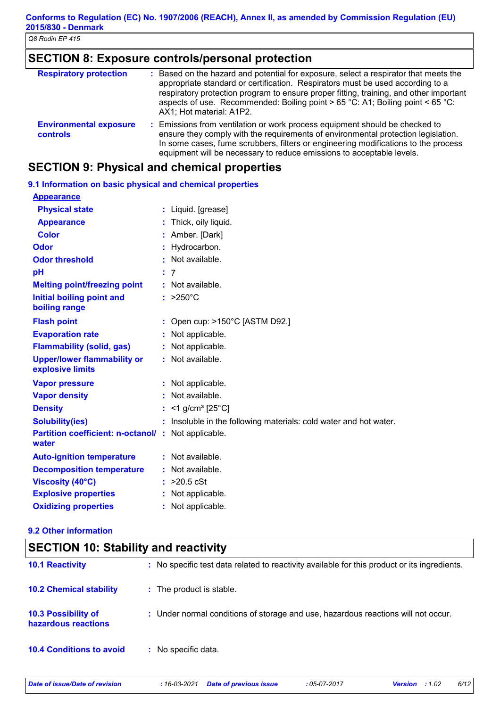# **SECTION 8: Exposure controls/personal protection**

| <b>Respiratory protection</b>                    | : Based on the hazard and potential for exposure, select a respirator that meets the<br>appropriate standard or certification. Respirators must be used according to a<br>respiratory protection program to ensure proper fitting, training, and other important<br>aspects of use. Recommended: Boiling point > 65 °C: A1; Boiling point < 65 °C:<br>AX1; Hot material: A1P2. |
|--------------------------------------------------|--------------------------------------------------------------------------------------------------------------------------------------------------------------------------------------------------------------------------------------------------------------------------------------------------------------------------------------------------------------------------------|
| <b>Environmental exposure</b><br><b>controls</b> | : Emissions from ventilation or work process equipment should be checked to<br>ensure they comply with the requirements of environmental protection legislation.<br>In some cases, fume scrubbers, filters or engineering modifications to the process<br>equipment will be necessary to reduce emissions to acceptable levels.                                                |

## **SECTION 9: Physical and chemical properties**

## **9.1 Information on basic physical and chemical properties**

| <b>Appearance</b>                                                  |                                                                   |
|--------------------------------------------------------------------|-------------------------------------------------------------------|
| <b>Physical state</b>                                              | : Liquid. [grease]                                                |
| <b>Appearance</b>                                                  | : Thick, oily liquid.                                             |
| <b>Color</b>                                                       | : Amber. [Dark]                                                   |
| Odor                                                               | : Hydrocarbon.                                                    |
| <b>Odor threshold</b>                                              | : Not available.                                                  |
| pH                                                                 | : 7                                                               |
| <b>Melting point/freezing point</b>                                | : Not available.                                                  |
| <b>Initial boiling point and</b><br>boiling range                  | $: >250^{\circ}$ C                                                |
| <b>Flash point</b>                                                 | : Open cup: $>150^{\circ}$ C [ASTM D92.]                          |
| <b>Evaporation rate</b>                                            | : Not applicable.                                                 |
| <b>Flammability (solid, gas)</b>                                   | : Not applicable.                                                 |
| <b>Upper/lower flammability or</b><br>explosive limits             | : Not available.                                                  |
| <b>Vapor pressure</b>                                              | : Not applicable.                                                 |
| <b>Vapor density</b>                                               | : Not available.                                                  |
| <b>Density</b>                                                     | : <1 g/cm <sup>3</sup> [25°C]                                     |
| <b>Solubility(ies)</b>                                             | : Insoluble in the following materials: cold water and hot water. |
| <b>Partition coefficient: n-octanol/: Not applicable.</b><br>water |                                                                   |
| <b>Auto-ignition temperature</b>                                   | : Not available.                                                  |
| <b>Decomposition temperature</b>                                   | : Not available.                                                  |
| <b>Viscosity (40°C)</b>                                            | $:$ >20.5 cSt                                                     |
| <b>Explosive properties</b>                                        | : Not applicable.                                                 |
| <b>Oxidizing properties</b>                                        | : Not applicable.                                                 |

## **9.2 Other information**

| <b>SECTION 10: Stability and reactivity</b>       |                                                                                              |  |
|---------------------------------------------------|----------------------------------------------------------------------------------------------|--|
| <b>10.1 Reactivity</b>                            | : No specific test data related to reactivity available for this product or its ingredients. |  |
| <b>10.2 Chemical stability</b>                    | : The product is stable.                                                                     |  |
| <b>10.3 Possibility of</b><br>hazardous reactions | : Under normal conditions of storage and use, hazardous reactions will not occur.            |  |
| <b>10.4 Conditions to avoid</b>                   | : No specific data.                                                                          |  |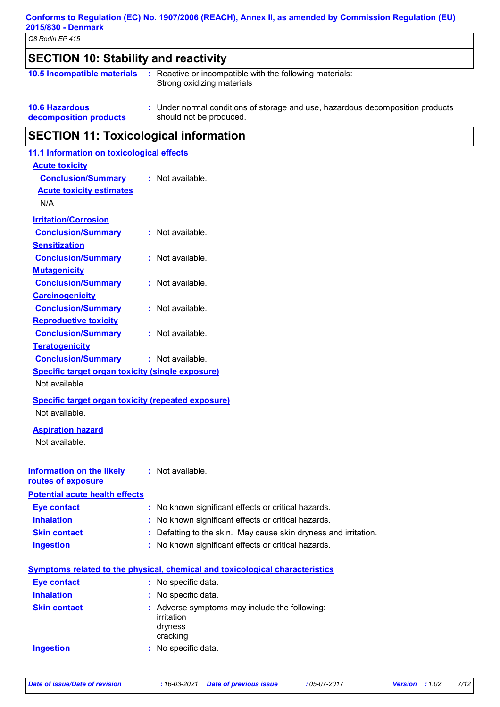### **Conforms to Regulation (EC) No. 1907/2006 (REACH), Annex II, as amended by Commission Regulation (EU) 2015/830 - Denmark**

*Q8 Rodin EP 415*

| <b>SECTION 10: Stability and reactivity</b> |                                                                                        |
|---------------------------------------------|----------------------------------------------------------------------------------------|
| 10.5 Incompatible materials                 | : Reactive or incompatible with the following materials:<br>Strong oxidizing materials |

**10.6 Hazardous decomposition products** Under normal conditions of storage and use, hazardous decomposition products **:** should not be produced.

## **SECTION 11: Toxicological information**

| <b>Acute toxicity</b><br><b>Conclusion/Summary</b>                                                                     | : Not available.                                                                                           |
|------------------------------------------------------------------------------------------------------------------------|------------------------------------------------------------------------------------------------------------|
| <b>Acute toxicity estimates</b>                                                                                        |                                                                                                            |
| N/A                                                                                                                    |                                                                                                            |
|                                                                                                                        |                                                                                                            |
| <b>Irritation/Corrosion</b>                                                                                            | : Not available.                                                                                           |
| <b>Conclusion/Summary</b><br><b>Sensitization</b>                                                                      |                                                                                                            |
| <b>Conclusion/Summary</b>                                                                                              | : Not available.                                                                                           |
| <b>Mutagenicity</b>                                                                                                    |                                                                                                            |
| <b>Conclusion/Summary</b>                                                                                              | : Not available.                                                                                           |
| <b>Carcinogenicity</b>                                                                                                 |                                                                                                            |
| <b>Conclusion/Summary</b>                                                                                              | : Not available.                                                                                           |
| <b>Reproductive toxicity</b>                                                                                           |                                                                                                            |
| <b>Conclusion/Summary</b>                                                                                              | : Not available.                                                                                           |
| <b>Teratogenicity</b>                                                                                                  |                                                                                                            |
| <b>Conclusion/Summary</b>                                                                                              | : Not available.                                                                                           |
| <b>Specific target organ toxicity (single exposure)</b>                                                                |                                                                                                            |
| Not available.                                                                                                         |                                                                                                            |
| Specific target organ toxicity (repeated exposure)                                                                     |                                                                                                            |
|                                                                                                                        |                                                                                                            |
| Not available.                                                                                                         |                                                                                                            |
|                                                                                                                        |                                                                                                            |
| <b>Aspiration hazard</b>                                                                                               |                                                                                                            |
| Not available.                                                                                                         |                                                                                                            |
|                                                                                                                        | : Not available.                                                                                           |
|                                                                                                                        |                                                                                                            |
|                                                                                                                        |                                                                                                            |
| <b>Eye contact</b>                                                                                                     | : No known significant effects or critical hazards.                                                        |
| <b>Inhalation</b>                                                                                                      | No known significant effects or critical hazards.                                                          |
| <b>Information on the likely</b><br>routes of exposure<br><b>Potential acute health effects</b><br><b>Skin contact</b> | : Defatting to the skin. May cause skin dryness and irritation.                                            |
| <b>Ingestion</b>                                                                                                       | No known significant effects or critical hazards.                                                          |
|                                                                                                                        |                                                                                                            |
| <b>Eye contact</b>                                                                                                     | <b>Symptoms related to the physical, chemical and toxicological characteristics</b><br>: No specific data. |
| <b>Inhalation</b>                                                                                                      | : No specific data.                                                                                        |
| <b>Skin contact</b>                                                                                                    | : Adverse symptoms may include the following:                                                              |
|                                                                                                                        | irritation                                                                                                 |
|                                                                                                                        | dryness<br>cracking                                                                                        |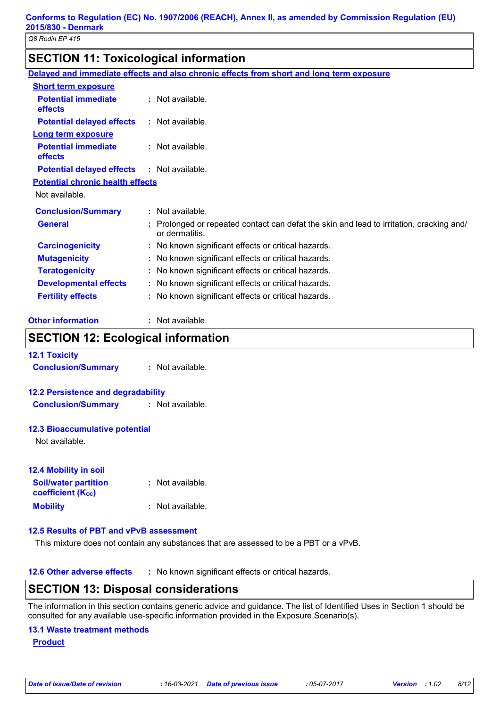## **SECTION 11: Toxicological information**

|                                         | Delayed and immediate effects and also chronic effects from short and long term exposure                   |
|-----------------------------------------|------------------------------------------------------------------------------------------------------------|
| <b>Short term exposure</b>              |                                                                                                            |
| <b>Potential immediate</b><br>effects   | : Not available.                                                                                           |
| <b>Potential delayed effects</b>        | $\therefore$ Not available.                                                                                |
| <b>Long term exposure</b>               |                                                                                                            |
| <b>Potential immediate</b><br>effects   | $:$ Not available.                                                                                         |
| <b>Potential delayed effects</b>        | : Not available.                                                                                           |
| <b>Potential chronic health effects</b> |                                                                                                            |
| Not available.                          |                                                                                                            |
| <b>Conclusion/Summary</b>               | $:$ Not available.                                                                                         |
| <b>General</b>                          | : Prolonged or repeated contact can defat the skin and lead to irritation, cracking and/<br>or dermatitis. |
| <b>Carcinogenicity</b>                  | : No known significant effects or critical hazards.                                                        |
| <b>Mutagenicity</b>                     | : No known significant effects or critical hazards.                                                        |
| <b>Teratogenicity</b>                   | : No known significant effects or critical hazards.                                                        |
| <b>Developmental effects</b>            | : No known significant effects or critical hazards.                                                        |
| <b>Fertility effects</b>                | : No known significant effects or critical hazards.                                                        |
|                                         |                                                                                                            |

## **SECTION 12: Ecological information**

| <b>12.1 Toxicity</b>                      |                      |
|-------------------------------------------|----------------------|
| <b>Conclusion/Summary</b>                 | $\pm$ Not available. |
|                                           |                      |
| <b>12.2 Persistence and degradability</b> |                      |
| <b>Conclusion/Summary</b>                 | : Not available.     |
|                                           |                      |
| <b>12.3 Bioaccumulative potential</b>     |                      |
| Not available.                            |                      |
|                                           |                      |
| <b>12.4 Mobility in soil</b>              |                      |
| <b>Soil/water partition</b>               | Not available.       |
| <b>coefficient (Koc)</b>                  |                      |
| <b>Mobility</b>                           | : Not available.     |
|                                           |                      |

## **12.5 Results of PBT and vPvB assessment**

This mixture does not contain any substances that are assessed to be a PBT or a vPvB.

**12.6 Other adverse effects** : No known significant effects or critical hazards.

## **SECTION 13: Disposal considerations**

The information in this section contains generic advice and guidance. The list of Identified Uses in Section 1 should be consulted for any available use-specific information provided in the Exposure Scenario(s).

#### **13.1 Waste treatment methods**

**Product**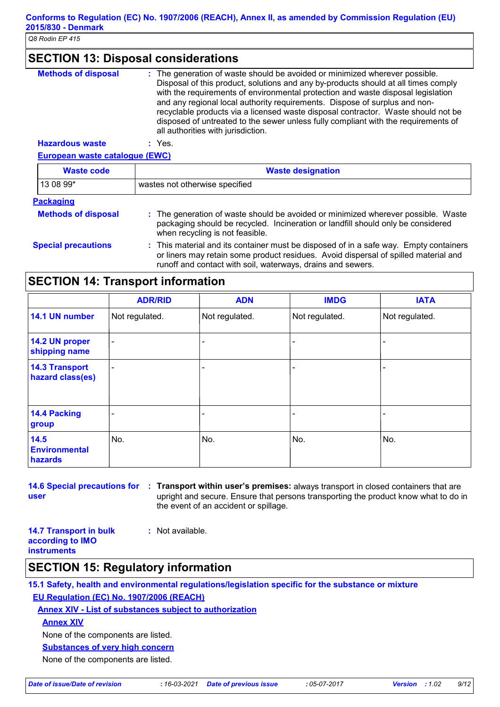## **SECTION 13: Disposal considerations**

| <b>Methods of disposal</b> | : The generation of waste should be avoided or minimized wherever possible.<br>Disposal of this product, solutions and any by-products should at all times comply<br>with the requirements of environmental protection and waste disposal legislation<br>and any regional local authority requirements. Dispose of surplus and non-<br>recyclable products via a licensed waste disposal contractor. Waste should not be<br>disposed of untreated to the sewer unless fully compliant with the requirements of<br>all authorities with jurisdiction. |
|----------------------------|------------------------------------------------------------------------------------------------------------------------------------------------------------------------------------------------------------------------------------------------------------------------------------------------------------------------------------------------------------------------------------------------------------------------------------------------------------------------------------------------------------------------------------------------------|
| <b>Hazardous waste</b>     | Yes.                                                                                                                                                                                                                                                                                                                                                                                                                                                                                                                                                 |

**European waste catalogue (EWC)**

| <b>Waste code</b>          | <b>Waste designation</b>                                                                                                                                                                                                                    |
|----------------------------|---------------------------------------------------------------------------------------------------------------------------------------------------------------------------------------------------------------------------------------------|
| 13 08 99*                  | wastes not otherwise specified                                                                                                                                                                                                              |
| <b>Packaging</b>           |                                                                                                                                                                                                                                             |
| <b>Methods of disposal</b> | : The generation of waste should be avoided or minimized wherever possible. Waste<br>packaging should be recycled. Incineration or landfill should only be considered<br>when recycling is not feasible.                                    |
| <b>Special precautions</b> | : This material and its container must be disposed of in a safe way. Empty containers<br>or liners may retain some product residues. Avoid dispersal of spilled material and<br>runoff and contact with soil, waterways, drains and sewers. |

## **SECTION 14: Transport information**

|                                           | <b>ADR/RID</b>           | <b>ADN</b>               | <b>IMDG</b>    | <b>IATA</b>    |
|-------------------------------------------|--------------------------|--------------------------|----------------|----------------|
| 14.1 UN number                            | Not regulated.           | Not regulated.           | Not regulated. | Not regulated. |
| 14.2 UN proper<br>shipping name           | $\overline{\phantom{a}}$ | $\overline{\phantom{0}}$ | ۰              |                |
| <b>14.3 Transport</b><br>hazard class(es) | ۰                        |                          | ٠              |                |
| 14.4 Packing<br>group                     |                          |                          |                |                |
| 14.5<br><b>Environmental</b><br>hazards   | No.                      | No.                      | No.            | No.            |

**user**

**14.6 Special precautions for Transport within user's premises:** always transport in closed containers that are **:** upright and secure. Ensure that persons transporting the product know what to do in the event of an accident or spillage.

**14.7 Transport in bulk according to IMO instruments**

**:** Not available.

## **SECTION 15: Regulatory information**

**15.1 Safety, health and environmental regulations/legislation specific for the substance or mixture EU Regulation (EC) No. 1907/2006 (REACH)**

**Annex XIV - List of substances subject to authorization**

**Annex XIV**

None of the components are listed.

**Substances of very high concern**

None of the components are listed.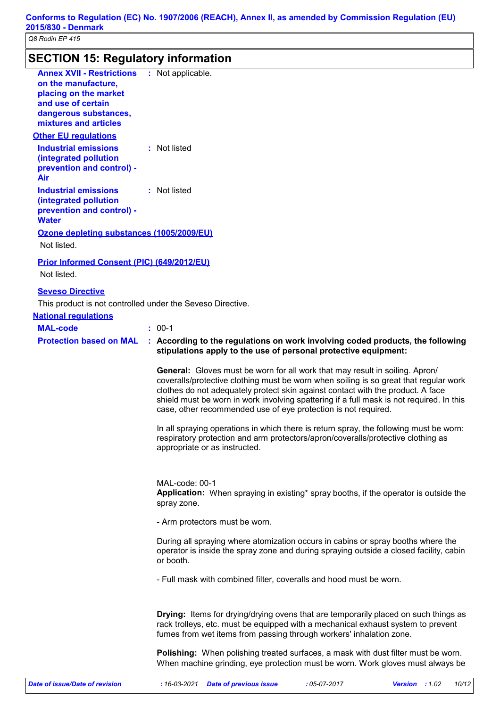# **SECTION 15: Regulatory information**

| <b>Annex XVII - Restrictions</b><br>on the manufacture,<br>placing on the market<br>and use of certain<br>dangerous substances,<br>mixtures and articles<br><b>Other EU regulations</b><br><b>Industrial emissions</b><br>(integrated pollution<br>prevention and control) -<br>Air | : Not applicable.<br>: Not listed                                                                                                                                                                                                                                                                                                                                                                                             |
|-------------------------------------------------------------------------------------------------------------------------------------------------------------------------------------------------------------------------------------------------------------------------------------|-------------------------------------------------------------------------------------------------------------------------------------------------------------------------------------------------------------------------------------------------------------------------------------------------------------------------------------------------------------------------------------------------------------------------------|
| <b>Industrial emissions</b><br>(integrated pollution<br>prevention and control) -<br><b>Water</b><br>Ozone depleting substances (1005/2009/EU)                                                                                                                                      | : Not listed                                                                                                                                                                                                                                                                                                                                                                                                                  |
| Not listed.                                                                                                                                                                                                                                                                         |                                                                                                                                                                                                                                                                                                                                                                                                                               |
| Prior Informed Consent (PIC) (649/2012/EU)<br>Not listed.                                                                                                                                                                                                                           |                                                                                                                                                                                                                                                                                                                                                                                                                               |
| <b>Seveso Directive</b>                                                                                                                                                                                                                                                             |                                                                                                                                                                                                                                                                                                                                                                                                                               |
| This product is not controlled under the Seveso Directive.                                                                                                                                                                                                                          |                                                                                                                                                                                                                                                                                                                                                                                                                               |
| <b>National requlations</b>                                                                                                                                                                                                                                                         |                                                                                                                                                                                                                                                                                                                                                                                                                               |
| <b>MAL-code</b>                                                                                                                                                                                                                                                                     | $: 00-1$                                                                                                                                                                                                                                                                                                                                                                                                                      |
| <b>Protection based on MAL</b>                                                                                                                                                                                                                                                      | : According to the regulations on work involving coded products, the following<br>stipulations apply to the use of personal protective equipment:                                                                                                                                                                                                                                                                             |
|                                                                                                                                                                                                                                                                                     | <b>General:</b> Gloves must be worn for all work that may result in soiling. Apron/<br>coveralls/protective clothing must be worn when soiling is so great that regular work<br>clothes do not adequately protect skin against contact with the product. A face<br>shield must be worn in work involving spattering if a full mask is not required. In this<br>case, other recommended use of eye protection is not required. |
|                                                                                                                                                                                                                                                                                     | In all spraying operations in which there is return spray, the following must be worn:<br>respiratory protection and arm protectors/apron/coveralls/protective clothing as<br>appropriate or as instructed.                                                                                                                                                                                                                   |
|                                                                                                                                                                                                                                                                                     | MAL-code: 00-1<br>Application: When spraying in existing* spray booths, if the operator is outside the<br>spray zone.                                                                                                                                                                                                                                                                                                         |
|                                                                                                                                                                                                                                                                                     | - Arm protectors must be worn.                                                                                                                                                                                                                                                                                                                                                                                                |
|                                                                                                                                                                                                                                                                                     | During all spraying where atomization occurs in cabins or spray booths where the<br>operator is inside the spray zone and during spraying outside a closed facility, cabin<br>or booth.                                                                                                                                                                                                                                       |
|                                                                                                                                                                                                                                                                                     | - Full mask with combined filter, coveralls and hood must be worn.                                                                                                                                                                                                                                                                                                                                                            |
|                                                                                                                                                                                                                                                                                     | <b>Drying:</b> Items for drying/drying ovens that are temporarily placed on such things as<br>rack trolleys, etc. must be equipped with a mechanical exhaust system to prevent<br>fumes from wet items from passing through workers' inhalation zone.                                                                                                                                                                         |
|                                                                                                                                                                                                                                                                                     | <b>Polishing:</b> When polishing treated surfaces, a mask with dust filter must be worn.<br>When machine grinding, eye protection must be worn. Work gloves must always be                                                                                                                                                                                                                                                    |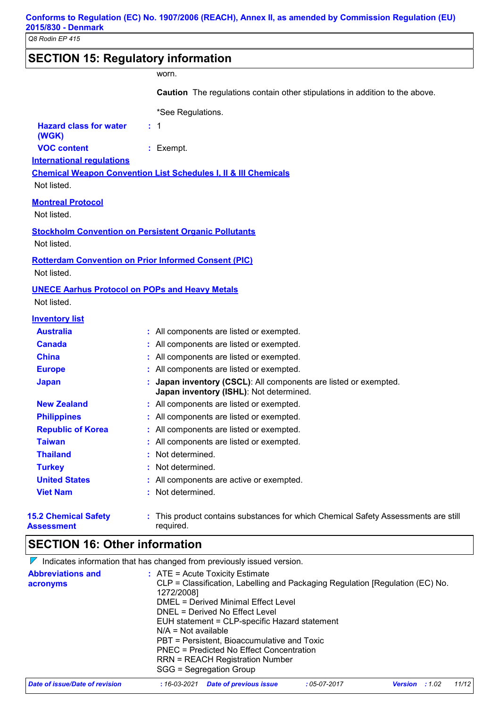## **SECTION 15: Regulatory information**

#### worn.

**Caution** The regulations contain other stipulations in addition to the above.

**International regulations** \*See Regulations. **Hazard class for water (WGK) :** 1 **VOC content :** Exempt.

**Chemical Weapon Convention List Schedules I, II & III Chemicals**

Not listed.

#### **Montreal Protocol**

Not listed.

**Stockholm Convention on Persistent Organic Pollutants**

Not listed.

#### **Rotterdam Convention on Prior Informed Consent (PIC)**

Not listed.

#### **UNECE Aarhus Protocol on POPs and Heavy Metals**

Not listed.

## **Inventory list**

| <b>Australia</b>                                 | : All components are listed or exempted.                                                                            |
|--------------------------------------------------|---------------------------------------------------------------------------------------------------------------------|
| <b>Canada</b>                                    | : All components are listed or exempted.                                                                            |
| <b>China</b>                                     | : All components are listed or exempted.                                                                            |
| <b>Europe</b>                                    | : All components are listed or exempted.                                                                            |
| <b>Japan</b>                                     | : Japan inventory (CSCL): All components are listed or exempted.<br><b>Japan inventory (ISHL)</b> : Not determined. |
| <b>New Zealand</b>                               | : All components are listed or exempted.                                                                            |
| <b>Philippines</b>                               | : All components are listed or exempted.                                                                            |
| <b>Republic of Korea</b>                         | : All components are listed or exempted.                                                                            |
| <b>Taiwan</b>                                    | : All components are listed or exempted.                                                                            |
| <b>Thailand</b>                                  | : Not determined.                                                                                                   |
| <b>Turkey</b>                                    | : Not determined.                                                                                                   |
| <b>United States</b>                             | : All components are active or exempted.                                                                            |
| <b>Viet Nam</b>                                  | : Not determined.                                                                                                   |
| <b>15.2 Chemical Safety</b><br><b>Assessment</b> | : This product contains substances for which Chemical Safety Assessments are still<br>required.                     |

## **SECTION 16: Other information**

 $\nabla$  Indicates information that has changed from previously issued version.

| <b>Abbreviations and</b><br>acronyms | $:$ ATE = Acute Toxicity Estimate<br>CLP = Classification, Labelling and Packaging Regulation [Regulation (EC) No.<br>1272/2008]<br>DMEL = Derived Minimal Effect Level<br>DNEL = Derived No Effect Level<br>EUH statement = CLP-specific Hazard statement<br>$N/A = Not available$<br>PBT = Persistent, Bioaccumulative and Toxic<br>PNEC = Predicted No Effect Concentration<br><b>RRN = REACH Registration Number</b><br>SGG = Segregation Group |
|--------------------------------------|-----------------------------------------------------------------------------------------------------------------------------------------------------------------------------------------------------------------------------------------------------------------------------------------------------------------------------------------------------------------------------------------------------------------------------------------------------|
|                                      |                                                                                                                                                                                                                                                                                                                                                                                                                                                     |

| Date of issue/Date of revision | : 16-03-2021 Date of previous issue | : 05-07-2017 | <b>Version</b> : 1.02 |  | 11/12 |
|--------------------------------|-------------------------------------|--------------|-----------------------|--|-------|
|--------------------------------|-------------------------------------|--------------|-----------------------|--|-------|